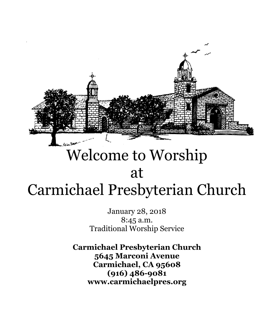

# Welcome to Worship at Carmichael Presbyterian Church

January 28, 2018 8:45 a.m. Traditional Worship Service

**Carmichael Presbyterian Church 5645 Marconi Avenue Carmichael, CA 95608 (916) 486-9081 www.carmichaelpres.org**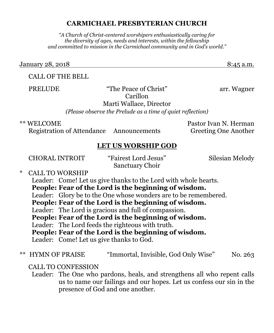#### **CARMICHAEL PRESBYTERIAN CHURCH**

*"A Church of Christ-centered worshipers enthusiastically caring for the diversity of ages, needs and interests, within the fellowship and committed to mission in the Carmichael community and in God's world."*

January 28, 2018 **8:45 a.m.** 

### CALL OF THE BELL

PRELUDE "The Peace of Christ" arr. Wagner Carillon Marti Wallace, Director

*(Please observe the Prelude as a time of quiet reflection)*

\*\* WELCOME Pastor Ivan N. Herman

Registration of Attendance Announcements Greeting One Another

### **LET US WORSHIP GOD**

CHORAL INTROIT "Fairest Lord Jesus" Silesian Melody

Sanctuary Choir \* CALL TO WORSHIP

Leader: Come! Let us give thanks to the Lord with whole hearts.

**People: Fear of the Lord is the beginning of wisdom.**

Leader: Glory be to the One whose wonders are to be remembered.

**People: Fear of the Lord is the beginning of wisdom.**

Leader: The Lord is gracious and full of compassion.

**People: Fear of the Lord is the beginning of wisdom.**

Leader: The Lord feeds the righteous with truth.

**People: Fear of the Lord is the beginning of wisdom.**

Leader: Come! Let us give thanks to God.

\*\* HYMN OF PRAISE "Immortal, Invisible, God Only Wise" No. 263

CALL TO CONFESSION

Leader: The One who pardons, heals, and strengthens all who repent calls us to name our failings and our hopes. Let us confess our sin in the presence of God and one another.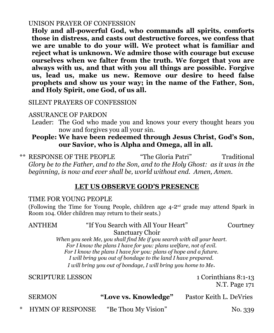#### UNISON PRAYER OF CONFESSION

**Holy and all-powerful God, who commands all spirits, comforts those in distress, and casts out destructive forces, we confess that we are unable to do your will. We protect what is familiar and reject what is unknown. We admire those with courage but excuse ourselves when we falter from the truth. We forget that you are always with us, and that with you all things are possible. Forgive us, lead us, make us new. Remove our desire to heed false prophets and show us your way; in the name of the Father, Son, and Holy Spirit, one God, of us all.**

SILENT PRAYERS OF CONFESSION

#### ASSURANCE OF PARDON

Leader: The God who made you and knows your every thought hears you now and forgives you all your sin.

### **People: We have been redeemed through Jesus Christ, God's Son, our Savior, who is Alpha and Omega, all in all.**

\*\* RESPONSE OF THE PEOPLE "The Gloria Patri" Traditional *Glory be to the Father, and to the Son, and to the Holy Ghost: as it was in the beginning, is now and ever shall be, world without end. Amen, Amen.*

#### **LET US OBSERVE GOD'S PRESENCE**

#### TIME FOR YOUNG PEOPLE

(Following the Time for Young People, children age  $4\text{-}2^{\text{nd}}$  grade may attend Spark in Room 104. Older children may return to their seats.)

## ANTHEM "If You Search with All Your Heart" Courtney

Sanctuary Choir

*When you seek Me, you shall find Me if you search with all your heart. For I know the plans I have for you: plans welfare, not of evil. For I know the plans I have for you: plans of hope and a future. I will bring you out of bondage to the land I have prepared. I will bring you out of bondage, I will bring you home to Me*.

SCRIPTURE LESSON 1 Corinthians 8:1-13

N.T. Page 171

| <b>SERMON</b>      | "Love vs. Knowledge" | Pastor Keith L. DeVries |
|--------------------|----------------------|-------------------------|
| * HYMN OF RESPONSE | "Be Thou My Vision"  | No. 339                 |